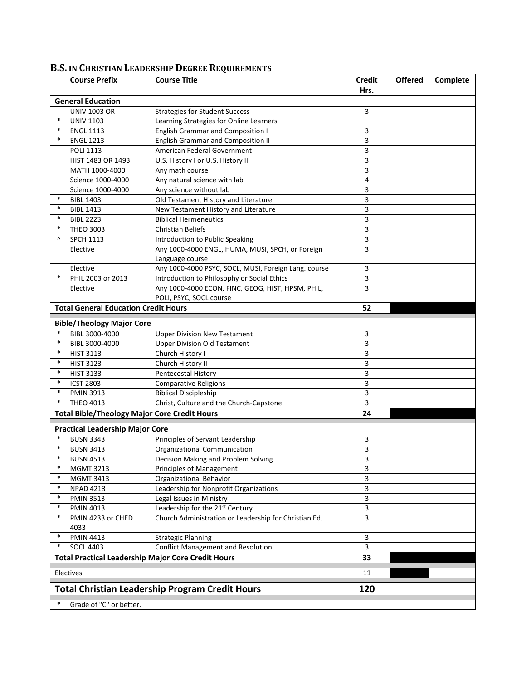## **Course Prefix Course Title Credit Hrs. Offered Complete General Education \*** UNIV 1103 UNIV 1003 OR Strategies for Student Success Learning Strategies for Online Learners 3 \* ENGL 1113 English Grammar and Composition I 3<br>
\* ENGL 1213 English Grammar and Composition II 3 English Grammar and Composition II 3 POLI 1113 American Federal Government 3 HIST 1483 OR 1493 U.S. History I or U.S. History II **1483** OR 1493 MATH 1000-4000  $\vert$  Any math course  $\vert$  3 Science 1000-4000 Any natural science with lab 4 Science 1000-4000 Any science without lab 3<br>
<sup>3</sup> BIBL 1403 Old Testament History and Literature 3 \* BIBL 1403 Old Testament History and Literature 3<br>\* BIBL 1413 **BIBL 1413** New Testament History and Literature 3 \* BIBL 2223 Biblical Hermeneutics 3 \* THEO 3003 Christian Beliefs 3 ^ SPCH 1113 Introduction to Public Speaking 3 Elective | Any 1000-4000 ENGL, HUMA, MUSI, SPCH, or Foreign Language course 3 Elective Any 1000-4000 PSYC, SOCL, MUSI, Foreign Lang. course 3 \* PHIL 2003 or 2013 | Introduction to Philosophy or Social Ethics | 3 Elective | Any 1000-4000 ECON, FINC, GEOG, HIST, HPSM, PHIL, POLI, PSYC, SOCL course 3 **Total General Education Credit Hours 52 Bible/Theology Major Core** \* BIBL 3000-4000 Upper Division New Testament 3 \* BIBL 3000-4000 Upper Division Old Testament 3<br>
\* HIST 3113 Church History I 3 \* HIST 3113 Church History I 3<br>
\* HIST 3123 Church History II 3 \* HIST 3123 Church History II 3<br>
\* HIST 3133 Pentecostal History 3 **Pentecostal History** 3133 \* ICST 2803 Comparative Religions 3<br>
\* PMIN 3913 Biblical Discipleship 3 **Eiblical Discipleship 3** THEO 4013 Christ, Culture and the Church-Capstone 3 **Total Bible/Theology Major Core Credit Hours 24 Practical Leadership Major Core** BUSN 3343 Principles of Servant Leadership 3 EUSN 3413 **Departs Organizational Communication 3413** Organizational Communication 351 COM 351 COM 351 COM 361 COM<br>BUSN 4513 Decision Making and Problem Solving 351 COM 351 COM 361 COM 361 COM 361 COM 361 COM 361 COM 361 C **Decision Making and Problem Solving 3** 3 MGMT 3213 Principles of Management 3 \* MGMT 3413 **Organizational Behavior** 3 3 \* NPAD 4213 Leadership for Nonprofit Organizations 3 \* PMIN 3513 Legal Issues in Ministry **3** 3 \* PMIN 4013 Leadership for the 21st Century and the SN 3 PMIN 4233 or CHED 4033 Church Administration or Leadership for Christian Ed. 23 \* PMIN 4413 Strategic Planning 3 SOCL 4403 Conflict Management and Resolution 3 **Total Practical Leadership Major Core Credit Hours 33** Electives 2012 - 2022 - 2022 - 2022 - 2022 - 2022 - 2022 - 2022 - 2022 - 2022 - 2022 - 2022 - 2022 - 2022 - 20 **Total Christian Leadership Program Credit Hours 120** Grade of "C" or better.

## **B.S. IN CHRISTIAN LEADERSHIP DEGREE REQUIREMENTS**